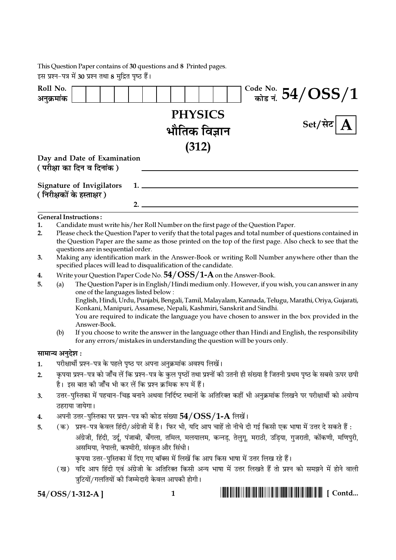This Question Paper contains of 30 questions and 8 Printed pages.<br>इस प्रश्न–पत्र में 30 प्रश्न तथा 8 मुद्रित पृष्ठ हैं।

| Roll No.<br>अनुक्रमांक |                                                                                                                                                                                                          |                                                                                       |    |                |  |  | $\frac{\text{Code No.}}{\text{angle} \cdot \text{H}} 54/\text{OSS}/1$                                                     |  |
|------------------------|----------------------------------------------------------------------------------------------------------------------------------------------------------------------------------------------------------|---------------------------------------------------------------------------------------|----|----------------|--|--|---------------------------------------------------------------------------------------------------------------------------|--|
|                        |                                                                                                                                                                                                          |                                                                                       |    |                |  |  |                                                                                                                           |  |
|                        |                                                                                                                                                                                                          |                                                                                       |    | <b>PHYSICS</b> |  |  | Set/सेट                                                                                                                   |  |
|                        |                                                                                                                                                                                                          |                                                                                       |    | भौतिक विज्ञान  |  |  |                                                                                                                           |  |
|                        |                                                                                                                                                                                                          |                                                                                       |    | (312)          |  |  |                                                                                                                           |  |
|                        |                                                                                                                                                                                                          | Day and Date of Examination                                                           |    |                |  |  |                                                                                                                           |  |
|                        |                                                                                                                                                                                                          | ( परीक्षा का दिन व दिनांक )                                                           |    |                |  |  |                                                                                                                           |  |
|                        |                                                                                                                                                                                                          |                                                                                       |    |                |  |  |                                                                                                                           |  |
|                        |                                                                                                                                                                                                          | <b>Signature of Invigilators</b>                                                      | 1. |                |  |  |                                                                                                                           |  |
|                        |                                                                                                                                                                                                          | ( निरीक्षकों के हस्ताक्षर )                                                           | 2. |                |  |  |                                                                                                                           |  |
|                        |                                                                                                                                                                                                          | <b>General Instructions:</b>                                                          |    |                |  |  |                                                                                                                           |  |
| 1.                     |                                                                                                                                                                                                          |                                                                                       |    |                |  |  |                                                                                                                           |  |
| 2.                     | Candidate must write his/her Roll Number on the first page of the Question Paper.<br>Please check the Question Paper to verify that the total pages and total number of questions contained in           |                                                                                       |    |                |  |  |                                                                                                                           |  |
|                        |                                                                                                                                                                                                          |                                                                                       |    |                |  |  | the Question Paper are the same as those printed on the top of the first page. Also check to see that the                 |  |
| 3.                     |                                                                                                                                                                                                          | questions are in sequential order.                                                    |    |                |  |  | Making any identification mark in the Answer-Book or writing Roll Number anywhere other than the                          |  |
|                        |                                                                                                                                                                                                          | specified places will lead to disqualification of the candidate.                      |    |                |  |  |                                                                                                                           |  |
| 4.                     |                                                                                                                                                                                                          | Write your Question Paper Code No. $54/OSS/1-A$ on the Answer-Book.                   |    |                |  |  |                                                                                                                           |  |
| 5.                     | (a)                                                                                                                                                                                                      | one of the languages listed below:                                                    |    |                |  |  | The Question Paper is in English/Hindi medium only. However, if you wish, you can answer in any                           |  |
|                        |                                                                                                                                                                                                          |                                                                                       |    |                |  |  | English, Hindi, Urdu, Punjabi, Bengali, Tamil, Malayalam, Kannada, Telugu, Marathi, Oriya, Gujarati,                      |  |
|                        | Konkani, Manipuri, Assamese, Nepali, Kashmiri, Sanskrit and Sindhi.<br>You are required to indicate the language you have chosen to answer in the box provided in the                                    |                                                                                       |    |                |  |  |                                                                                                                           |  |
|                        |                                                                                                                                                                                                          | Answer-Book.                                                                          |    |                |  |  |                                                                                                                           |  |
|                        | (b)                                                                                                                                                                                                      |                                                                                       |    |                |  |  | If you choose to write the answer in the language other than Hindi and English, the responsibility                        |  |
|                        |                                                                                                                                                                                                          | for any errors/mistakes in understanding the question will be yours only.             |    |                |  |  |                                                                                                                           |  |
| सामान्य अनुदेश :       |                                                                                                                                                                                                          |                                                                                       |    |                |  |  |                                                                                                                           |  |
| 1.                     |                                                                                                                                                                                                          | परीक्षार्थी प्रश्न-पत्र के पहले पृष्ठ पर अपना अनुक्रमांक अवश्य लिखें।                 |    |                |  |  |                                                                                                                           |  |
| 2.                     | कृपया प्रश्न–पत्र को जाँच लें कि प्रश्न–पत्र के कुल पृष्ठों तथा प्रश्नों की उतनी ही संख्या है जितनी प्रथम पृष्ठ के सबसे ऊपर छपी                                                                          |                                                                                       |    |                |  |  |                                                                                                                           |  |
|                        |                                                                                                                                                                                                          | है। इस बात की जाँच भी कर लें कि प्रश्न क्रमिक रूप में हैं।                            |    |                |  |  |                                                                                                                           |  |
| 3.                     |                                                                                                                                                                                                          |                                                                                       |    |                |  |  | उत्तर–पुस्तिका में पहचान–चिह्न बनाने अथवा निर्दिष्ट स्थानों के अतिरिक्त कहीं भी अनुक्रमांक लिखने पर परीक्षार्थी को अयोग्य |  |
|                        |                                                                                                                                                                                                          | ठहराया जायेगा।                                                                        |    |                |  |  |                                                                                                                           |  |
| 4.                     | अपनी उत्तर-पुस्तिका पर प्रश्न-पत्र को कोड संख्या $54/OSS/1$ - ${\rm A}$ लिखें।<br>(क)   प्रश्न–पत्र केवल हिंदी/अंग्रेजी में है।  फिर भी, यदि आप चाहें तो नीचे दी गई किसी एक भाषा में उत्तर दे सकते हैं : |                                                                                       |    |                |  |  |                                                                                                                           |  |
| 5.                     |                                                                                                                                                                                                          |                                                                                       |    |                |  |  |                                                                                                                           |  |
|                        |                                                                                                                                                                                                          | असमिया, नेपाली, कश्मीरी, संस्कृत और सिंधी।                                            |    |                |  |  | अंग्रेजी, हिंदी, उर्दू, पंजाबी, बँगला, तमिल, मलयालम, कन्नड़, तेलुगू, मराठी, उड़िया, गुजराती, कोंकणी, मणिपुरी,             |  |
|                        |                                                                                                                                                                                                          | कृपया उत्तर–पुस्तिका में दिए गए बॉक्स में लिखें कि आप किस भाषा में उत्तर लिख रहे हैं। |    |                |  |  |                                                                                                                           |  |
|                        |                                                                                                                                                                                                          |                                                                                       |    |                |  |  | (ख) यदि आप हिंदी एवं अंग्रेजी के अतिरिक्त किसी अन्य भाषा में उत्तर लिखते हैं तो प्रश्न को समझने में होने वाली             |  |
|                        |                                                                                                                                                                                                          | त्रुटियों/गलतियों की जिम्मेदारी केवल आपकी होगी।                                       |    |                |  |  |                                                                                                                           |  |
|                        |                                                                                                                                                                                                          |                                                                                       |    |                |  |  |                                                                                                                           |  |

 $54/OSS/1-312-A$ ]

 $1 \quad$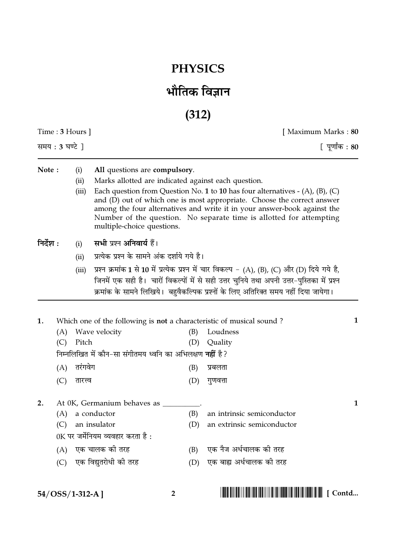## **PHYSICS**

## भौतिक विज्ञान

 $(312)$ 

| Time : $3$ Hours $\vert$ |                                 |                      |                                                                                                                                                |                                 | [ Maximum Marks : 80                                                                                                                                                                                                                                                                                          |   |  |
|--------------------------|---------------------------------|----------------------|------------------------------------------------------------------------------------------------------------------------------------------------|---------------------------------|---------------------------------------------------------------------------------------------------------------------------------------------------------------------------------------------------------------------------------------------------------------------------------------------------------------|---|--|
| समय : 3 घण्टे ]          |                                 |                      |                                                                                                                                                |                                 | [ पूर्णांक : 80                                                                                                                                                                                                                                                                                               |   |  |
| Note:                    |                                 | (i)<br>(ii)<br>(iii) | All questions are compulsory.<br>Marks allotted are indicated against each question.<br>multiple-choice questions.                             |                                 | Each question from Question No. 1 to 10 has four alternatives $-$ (A), (B), (C)<br>and (D) out of which one is most appropriate. Choose the correct answer<br>among the four alternatives and write it in your answer-book against the<br>Number of the question. No separate time is allotted for attempting |   |  |
| निर्देश :                |                                 | (i)<br>(ii)<br>(iii) | सभी प्रश्न अनिवार्य हैं।<br>प्रत्येक प्रश्न के सामने अंक दर्शाये गये है।                                                                       |                                 | प्रश्न क्रमांक 1 से 10 में प्रत्येक प्रश्न में चार विकल्प - (A), (B), (C) और (D) दिये गये है,<br>जिनमें एक सही है।  चारों विकल्पों में से सही उत्तर चुनिये तथा अपनी उत्तर-पुस्तिका में प्रश्न<br>क्रमांक के सामने लिखिये। बहुवैकल्पिक प्रश्नों के लिए अतिरिक्त समय नहीं दिया जायेगा।                          |   |  |
| 1.                       | (A)<br>(C)<br>(A)               | Pitch<br>तरंगवेग     | Wave velocity<br>निम्नलिखित में कौन-सा संगीतमय ध्वनि का अभिलक्षण <b>नहीं</b> है?                                                               | (B)<br>(D)<br>(B)               | Which one of the following is <b>not</b> a characteristic of musical sound?<br>Loudness<br>Quality<br>प्रबलता                                                                                                                                                                                                 | 1 |  |
| 2.                       | (C)<br>(A)<br>(C)<br>(A)<br>(C) | तारत्त्व             | At 0K, Germanium behaves as ___<br>a conductor<br>an insulator<br>0K पर जर्मेनियम व्यवहार करता है :<br>एक चालक की तरह<br>एक विद्युतरोधी की तरह | (D)<br>(B)<br>(D)<br>(B)<br>(D) | गुणवत्ता<br>an intrinsic semiconductor<br>an extrinsic semiconductor<br>एक नैज अर्धचालक की तरह<br>एक बाह्य अर्धचालक की तरह                                                                                                                                                                                    | 1 |  |
| 54/OSS/1-312-A]          |                                 |                      |                                                                                                                                                | $\overline{2}$                  |                                                                                                                                                                                                                                                                                                               |   |  |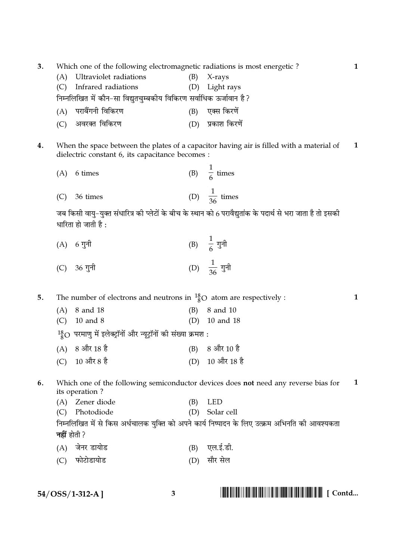| 3. | Which one of the following electromagnetic radiations is most energetic?<br>Ultraviolet radiations<br>(B)<br>(A)<br>X-rays                   |                                                                                                |     |                          |  |  |  |  |
|----|----------------------------------------------------------------------------------------------------------------------------------------------|------------------------------------------------------------------------------------------------|-----|--------------------------|--|--|--|--|
|    | (C)                                                                                                                                          | Infrared radiations                                                                            | (D) | Light rays               |  |  |  |  |
|    |                                                                                                                                              | निम्नलिखित में कौन-सा विद्युतचुम्बकीय विकिरण सर्वाधिक ऊर्जावान है?                             |     |                          |  |  |  |  |
|    | (A)                                                                                                                                          | पराबैंगनी विकिरण                                                                               | (B) | एक्स किरणें              |  |  |  |  |
|    | (C)                                                                                                                                          | अवरक्त विकिरण                                                                                  |     | (D) प्रकाश किरणें        |  |  |  |  |
| 4. | When the space between the plates of a capacitor having air is filled with a material of<br>dielectric constant 6, its capacitance becomes : |                                                                                                |     |                          |  |  |  |  |
|    | (A)                                                                                                                                          | 6 times                                                                                        |     | (B) $\frac{1}{6}$ times  |  |  |  |  |
|    | (C)                                                                                                                                          | 36 times                                                                                       |     | (D) $\frac{1}{36}$ times |  |  |  |  |
|    | जब किसी वायु-युक्त संधारित्र की प्लेटों के बीच के स्थान को 6 परावैद्युतांक के पदार्थ से भरा जाता है तो इसकी<br>धारिता हो जाती है :           |                                                                                                |     |                          |  |  |  |  |
|    |                                                                                                                                              | (A) 6 गुनी                                                                                     |     | (B) $\frac{1}{6}$ गुनी   |  |  |  |  |
|    |                                                                                                                                              | (C) 36 गुनी                                                                                    |     | (D) $\frac{1}{36}$ गुनी  |  |  |  |  |
| 5. |                                                                                                                                              | The number of electrons and neutrons in $^{18}_{8}$ O atom are respectively :                  |     |                          |  |  |  |  |
|    | (A)                                                                                                                                          | 8 and 18                                                                                       | (B) | 8 and 10                 |  |  |  |  |
|    | (C)                                                                                                                                          | 10 and 8                                                                                       | (D) | 10 and 18                |  |  |  |  |
|    |                                                                                                                                              | $^{18}_{8}$ O परमाणु में इलेक्ट्रॉनों और न्यूट्रॉनों की संख्या क्रमश :                         |     |                          |  |  |  |  |
|    | (A)                                                                                                                                          | 8 और 18 है                                                                                     |     | (B) 8 और 10 है           |  |  |  |  |
|    | (C)                                                                                                                                          | $10 \n$ और 8 है                                                                                | (D) | 10 और 18 है              |  |  |  |  |
| 6. | Which one of the following semiconductor devices does not need any reverse bias for<br>1<br>its operation?                                   |                                                                                                |     |                          |  |  |  |  |
|    | (A)                                                                                                                                          | Zener diode                                                                                    | (B) | <b>LED</b>               |  |  |  |  |
|    | (C)                                                                                                                                          | Photodiode                                                                                     | (D) | Solar cell               |  |  |  |  |
|    |                                                                                                                                              | निम्नलिखित में से किस अर्धचालक युक्ति को अपने कार्य निष्पादन के लिए उत्क्रम अभिनति की आवश्यकता |     |                          |  |  |  |  |
|    | <b>नहीं</b> होती ?                                                                                                                           |                                                                                                |     |                          |  |  |  |  |
|    | (A)                                                                                                                                          | जेनर डायोड                                                                                     | (B) | एल.ई.डी.                 |  |  |  |  |
|    | (C)                                                                                                                                          | फोटोडायोड                                                                                      | (D) | सौर सेल                  |  |  |  |  |
|    |                                                                                                                                              |                                                                                                |     |                          |  |  |  |  |

 $54/OSS/1-312-A$ ]

 $3^{\circ}$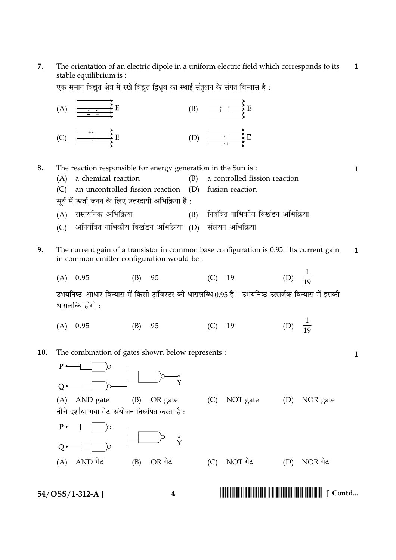$\overline{7}$ . The orientation of an electric dipole in a uniform electric field which corresponds to its  $\mathbf{1}$ stable equilibrium is:

एक समान विद्युत क्षेत्र में रखे विद्युत द्विध्रुव का स्थाई संतुलन के संगत विन्यास है :



 $54/OSS/1-312-A$ ]

8. The reaction responsible for energy generation in the Sun is:  $\mathbf{1}$ (A) a chemical reaction  $(B)$ a controlled fission reaction an uncontrolled fission reaction (D) fusion reaction  $(C)$ सर्य में ऊर्जा जनन के लिए उत्तरदायी अभिक्रिया है : (A) रासायनिक अभिक्रिया नियंत्रित नाभिकीय विखंडन अभिक्रिया  $(B)$ अनियंत्रित नाभिकीय विखंडन अभिक्रिया (D) संलयन अभिक्रिया  $(C)$ 9. The current gain of a transistor in common base configuration is 0.95. Its current gain  $\mathbf{1}$ in common emitter configuration would be : (D)  $\frac{1}{19}$  $(A)$  0.95 95  $(C)$  19  $(B)$ उभयनिष्ठ-आधार विन्यास में किसी ट्रांजिस्टर की धारालब्धि 0.95 है। उभयनिष्ठ उत्सर्जक विन्यास में इसकी धारालब्धि होगी: (D)  $\frac{1}{19}$  $(A)$  0.95  $(B)$ 95  $(C)$ 19 The combination of gates shown below represents : 10.  $\mathbf{1}$  $P$  $\overline{O}$ (A) AND gate (B) OR gate (C) NOT gate (D) NOR gate नीचे दर्शाया गया गेट-संयोजन निरूपित करता है:  $P$  $\overline{O}$ OR गेट (A) AND गेट  $(B)$ (C) NOT गेट (D) NOR गेट 

 $\overline{\mathbf{4}}$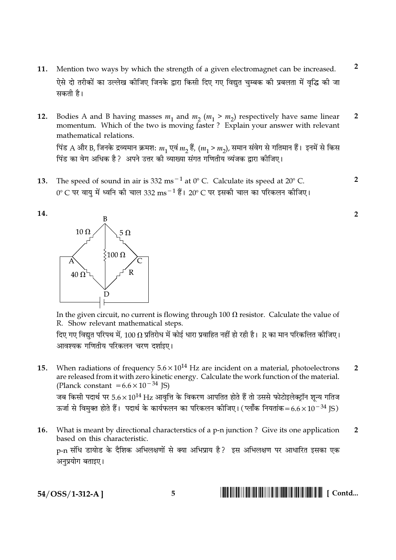- 11. Mention two ways by which the strength of a given electromagnet can be increased. ऐसे दो तरीकों का उल्लेख कीजिए जिनके द्वारा किसी दिए गए विद्युत चुम्बक की प्रबलता में वृद्धि की जा सकती है।
- Bodies A and B having masses  $m_1$  and  $m_2$  ( $m_1 > m_2$ ) respectively have same linear  $\overline{2}$ 12. momentum. Which of the two is moving faster? Explain your answer with relevant mathematical relations. पिंड A और B, जिनके द्रव्यमान क्रमश:  $m_1$  एवं  $m_2$  हैं,  $(m_1 > m_2)$ , समान संवेग से गतिमान हैं। इनमें से किस पिंड का वेग अधिक है ? अपने उत्तर की व्याख्या संगत गणितीय व्यंजक द्वारा कीजिए।
- The speed of sound in air is 332 ms<sup> $-1$ </sup> at 0° C. Calculate its speed at 20° C.  $\mathcal{P}$ 13. 0° C पर वायु में ध्वनि की चाल 332  $\text{ms}^{-1}$ हैं। 20° C पर इसकी चाल का परिकलन कीजिए।





In the given circuit, no current is flowing through 100  $\Omega$  resistor. Calculate the value of R. Show relevant mathematical steps.

दिए गए विद्युत परिपथ में, 100  $\Omega$  प्रतिरोध में कोई धारा प्रवाहित नहीं हो रही है। R का मान परिकलित कीजिए। आवश्यक गणितीय परिकलन चरण दर्शाइए।

When radiations of frequency  $5.6 \times 10^{14}$  Hz are incident on a material, photoelectrons  $15.$  $\overline{2}$ are released from it with zero kinetic energy. Calculate the work function of the material. (Planck constant  $= 6.6 \times 10^{-34}$  JS) जब किसी पदार्थ पर 5.6 $\times 10^{14}$  Hz आवृत्ति के विकरण आपतित होते हैं तो उससे फोटोइलेक्ट्रॉन शून्य गतिज

ऊर्जा से विमुक्त होते हैं। पदार्थ के कार्यफलन का परिकलन कीजिए। (प्लॉक नियतांक=6.6×10 $^{-34}$  IS)

What is meant by directional characterstics of a p-n junction? Give its one application **16.**  $\overline{2}$ based on this characteristic. p-n संधि डायोड के दैशिक अभिलक्षणों से क्या अभिप्राय है? इस अभिलक्षण पर आधारित इसका एक

अनुप्रयोग बताइए।

54/OSS/1-312-A]

 $\overline{2}$ 

 $\overline{2}$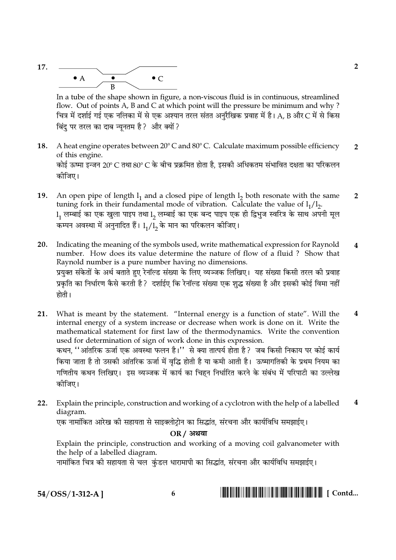

In a tube of the shape shown in figure, a non-viscous fluid is in continuous, streamlined flow. Out of points A, B and C at which point will the pressure be minimum and why? चित्र में दर्शाई गई एक नलिका में से एक अश्यान तरल संतत अनुरैखिक प्रवाह में है। A, B और C में से किस बिंदु पर तरल का दाब न्युनतम है? और क्यों?

- A heat engine operates between 20° C and 80° C. Calculate maximum possible efficiency 18.  $\overline{2}$ of this engine. कोई ऊष्मा इन्जन 20° C तथा 80° C के बीच प्रक्रमित होता है. इसकी अधिकतम संभावित दक्षता का परिकलन कोजिए।
- 19. An open pipe of length  $l_1$  and a closed pipe of length  $l_2$  both resonate with the same  $\overline{2}$ tuning fork in their fundamental mode of vibration. Calculate the value of  $l_1/l_2$ .  $1_1$  लम्बाई का एक खुला पाइप तथा  $1_2$  लम्बाई का एक बन्द पाइप एक ही द्विभुज स्वरित्र के साथ अपनी मूल कम्पन अवस्था में अनुनादित हैं।  $1_1/\overline{1_2}$  के मान का परिकलन कीजिए।
- $20.$ Indicating the meaning of the symbols used, write mathematical expression for Raynold  $\overline{\mathbf{4}}$ number. How does its value determine the nature of flow of a fluid ? Show that Raynold number is a pure number having no dimensions. प्रयुक्त संकेतों के अर्थ बताते हुए रेनॉल्ड संख्या के लिए व्यञ्जक लिखिए। यह संख्या किसी तरल की प्रवाह प्रकृति का निर्धारण कैसे करती है ? दर्शाईए कि रेनॉल्ड संख्या एक शद्ध संख्या है और इसकी कोई विमा नहीं होती।
- What is meant by the statement. "Internal energy is a function of state". Will the  $21.$  $\boldsymbol{4}$ internal energy of a system increase or decrease when work is done on it. Write the mathematical statement for first law of the thermodynamics. Write the convention used for determination of sign of work done in this expression. कथन, ''आंतरिक ऊर्जा एक अवस्था फलन है।'' से क्या तात्पर्य होता है ? जब किसी निकाय पर कोई कार्य किया जाता है तो उसकी आंतरिक ऊर्जा में वृद्धि होती है या कमी आती है। ऊष्मागतिकी के प्रथम नियम का गणितीय कथन लिखिए। इस व्यञ्जक में कार्य का चिहन निर्धारित करने के संबंध में परिपाटी का उल्लेख कोजिए।
- Explain the principle, construction and working of a cyclotron with the help of a labelled  $\overline{\mathbf{4}}$  $22.$ diagram.

एक नामांकित आरेख की सहायता से साइक्लोट्रोन का सिद्धांत, संरचना और कार्यविधि समझाईए।

**OR / अथवा** 

Explain the principle, construction and working of a moving coil galvanometer with the help of a labelled diagram.

नामांकित चित्र की सहायता से चल कंडल धारामापी का सिद्धांत. संरचना और कार्यविधि समझाईए।

54/OSS/1-312-A]

6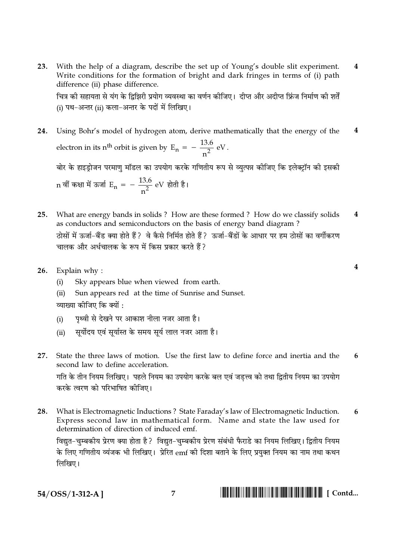With the help of a diagram, describe the set up of Young's double slit experiment. 23.  $\overline{\mathbf{4}}$ Write conditions for the formation of bright and dark fringes in terms of (i) path difference (ii) phase difference. चित्र की सहायता से यंग के द्विझिरी प्रयोग व्यवस्था का वर्णन कीजिए। दीप्त और अदीप्त फ्रिंज निर्माण की शर्तें

(i) पथ-अन्तर (ii) कला-अन्तर के पदों में लिखिए।

- $\overline{\mathbf{4}}$ Using Bohr's model of hydrogen atom, derive mathematically that the energy of the 24. electron in its n<sup>th</sup> orbit is given by  $E_n = -\frac{13.6}{n^2} eV$ . बोर के हाइड़ोजन परमाणु मॉडल का उपयोग करके गणितीय रूप से व्युत्पन्न कीजिए कि इलेक्ट्रॉन की इसकी n वीं कक्षा में ऊर्जा  $E_n = -\frac{13.6}{2}$  eV होती है।
- 25. What are energy bands in solids? How are these formed? How do we classify solids  $\boldsymbol{4}$ as conductors and semiconductors on the basis of energy band diagram? ठोसों में ऊर्जा-बैंड क्या होते हैं? वे कैसे निर्मित होते हैं? ऊर्जा-बैंडों के आधार पर हम ठोसों का वर्गीकरण चालक और अर्धचालक के रूप में किस पकार करते हैं ?
- 26. Explain why:
	- Sky appears blue when viewed from earth.  $(i)$
	- Sun appears red at the time of Sunrise and Sunset.  $(ii)$ व्याख्या कीजिए कि क्यों :
	- पृथ्वी से देखने पर आकाश नीला नजर आता है।  $(i)$
	- सर्योदय एवं सर्यास्त के समय सर्य लाल नजर आता है।  $(ii)$
- $27$ State the three laws of motion. Use the first law to define force and inertia and the 6 second law to define acceleration.

गति के तीन नियम लिखिए। पहले नियम का उपयोग करके बल एवं जड़त्त्व को तथा द्वितीय नियम का उपयोग करके त्वरण को परिभाषित कीजिए।

28. What is Electromagnetic Inductions? State Faraday's law of Electromagnetic Induction. 6 Express second law in mathematical form. Name and state the law used for determination of direction of induced emf.

विद्युत-चुम्बकीय प्रेरण क्या होता है ? विद्युत-चुम्बकीय प्रेरण संबंधी फैराडे का नियम लिखिए। द्वितीय नियम के लिए गणितीय व्यंजक भी लिखिए। प्रेरित  $\mathrm{emf}$  की दिशा बताने के लिए प्रयक्त नियम का नाम तथा कथन लिखिए।

54/OSS/1-312-A]

 $\overline{\mathbf{4}}$